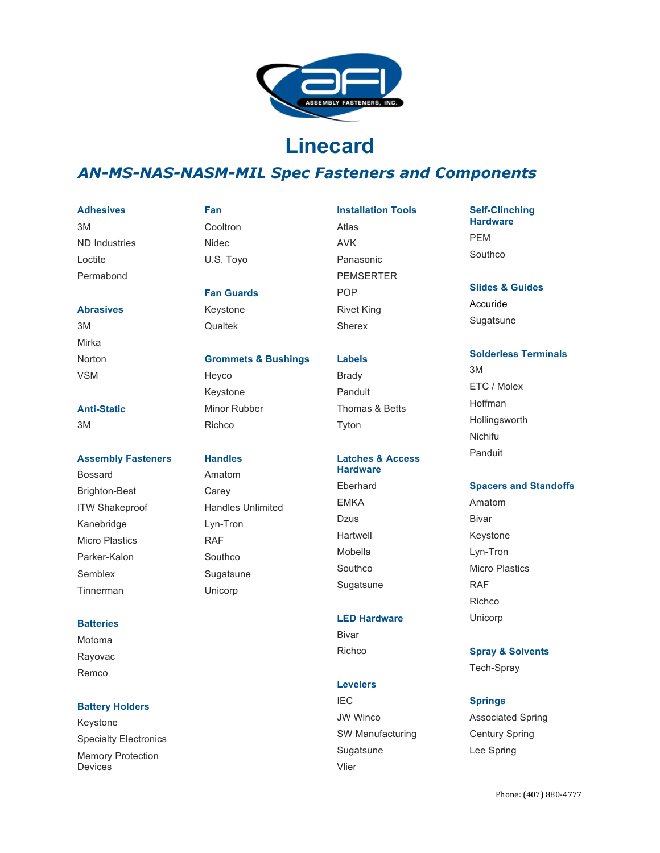

# **Linecard**

# *AN-MS-NAS-NASM-MIL Spec Fasteners and Components*

#### **Adhesives**

• 3M • ND Industries • Loctite • Permabond

#### **Abrasives**

• 3M • Mirka • Norton • VSM

# **Anti-Static**

• 3M

#### **Assembly Fasteners**

• Bossard • Brighton-Best ITW Shakeproof • Kanebridge **Micro Plastics** • Parker-Kalon **Semblex** • Tinnerman

#### **Batteries**

• Motoma • Rayovac • Remco

#### **Battery Holders**

**Keystone Specialty Electronics Memory Protection** Devices

# **Fan Cooltron** • Nidec U.S. Toyo

**Fan Guards Keystone** • Qualtek

#### **Grommets & Bushings**

• Heyco **Keystone Minor Rubber** • Richco

#### **Handles**

• Amatom **Carey** • Handles Unlimited Lyn-Tron • RAF **Southco Sugatsune** • Unicorp

- **Installation Tools** • Atlas • AVK • Panasonic **PEMSERTER** • POP **Rivet King Sherex**
- **Labels Brady Panduit** • Thomas & Betts **Tyton**

#### **Latches & Access Hardware**

**Eberhard EMKA** • Dzus **Hartwell** • Mobella **Southco Sugatsune** 

#### **LED Hardware**

**Bivar** • Richco

### **Levelers**

• IEC JW Winco SW Manufacturing **Sugatsune** • Vlier

## **Self-Clinching Hardware** • PEM • Southco

**Slides & Guides Accuride** 

**Sugatsune** 

#### **Solderless Terminals**

• 3M • ETC / Molex • Hoffman **Hollingsworth** • Nichifu • Panduit

#### **Spacers and Standoffs**

• Amatom **Bivar Keystone** Lyn-Tron **Micro Plastics**  $R\Delta F$ • Richco • Unicorp

#### **Spray & Solvents**

Tech-Spray

#### **Springs**

• Associated Spring Century Spring Lee Spring

#### Phone: (407) 880-4777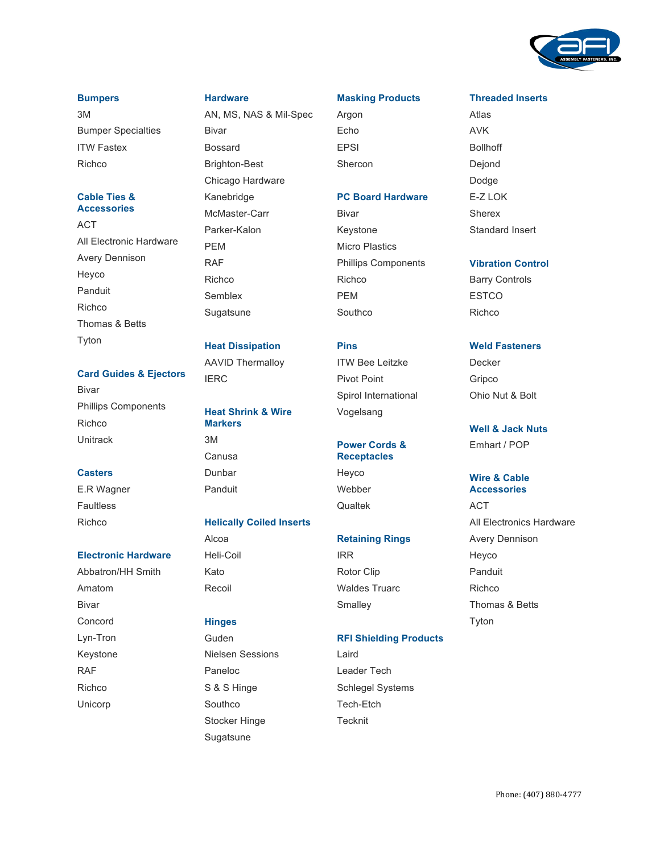

#### **Bumpers**

• 3M **Bumper Specialties ITW Fastex** • Richco

#### **Cable Ties & Accessories**

• ACT All Electronic Hardware **Avery Dennison** • Heyco **Panduit** • Richco • Thomas & Betts **Tyton** 

#### **Card Guides & Ejectors**

**Bivar** • Phillips Components • Richco • Unitrack

#### **Casters**

E.R Wagner **Faultless** • Richco

#### **Electronic Hardware**

• Abbatron/HH Smith • Amatom **Bivar** • Concord Lyn-Tron **Keystone** • RAF • Richco • Unicorp

#### **Hardware**

• AN, MS, NAS & Mil-Spec **Bivar Bossard** • Brighton-Best Chicago Hardware • Kanebridge McMaster-Carr Parker-Kalon • PEM • RAF • Richco • Semblex **Sugatsune** 

#### **Heat Dissipation**

• AAVID Thermalloy **IERC** 

# **Heat Shrink & Wire Markers** • 3M • Canusa • Dunbar

#### **Helically Coiled Inserts**

• Alcoa • Heli-Coil • Kato **Recoil** 

**Panduit** 

# **Hinges**

• Guden • Nielsen Sessions • Paneloc S & S Hinge **Southco** Stocker Hinge **Sugatsune** 

#### **Masking Products**

• Argon • Echo **EPSI Shercon** 

#### **PC Board Hardware**

**Bivar Keystone Micro Plastics** • Phillips Components • Richco • PEM • Southco

# **Pins**

**ITW Bee Leitzke** Pivot Point Spirol International • Vogelsang

#### **Power Cords & Receptacles**

• Heyco • Webber • Qualtek

#### **Retaining Rings**

• IRR Rotor Clip Waldes Truarc **Smalley** 

#### **RFI Shielding Products**

• Laird Leader Tech Schlegel Systems Tech-Etch • Tecknit

#### **Threaded Inserts**

• Atlas • AVK • Bollhoff • Dejond • Dodge E-Z LOK **Sherex** Standard Insert

#### **Vibration Control**

**Barry Controls ESTCO** • Richco

### **Weld Fasteners**

**Decker** • Gripco • Ohio Nut & Bolt

# **Well & Jack Nuts**

• Emhart / POP

#### **Wire & Cable Accessories**

• ACT All Electronics Hardware **Avery Dennison** • Heyco **Panduit** • Richco • Thomas & Betts **Tyton**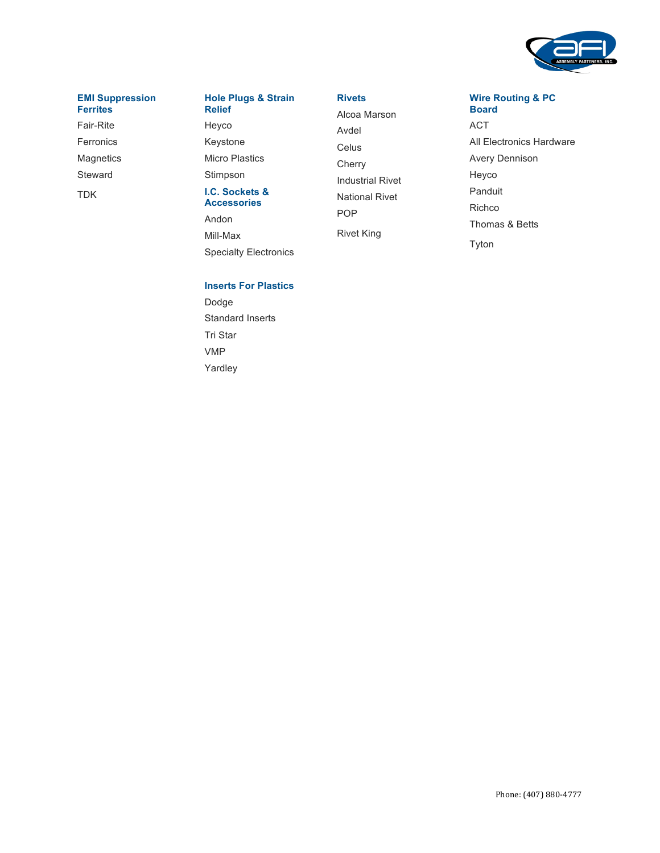

#### **EMI Suppression Ferrites**

• Fair-Rite

**Ferronics** 

**Magnetics** 

**Steward** 

• TDK

#### **Hole Plugs & Strain Relief**

• Heyco **Keystone Micro Plastics Stimpson** 

#### **I.C. Sockets & Accessories**

• Andon • Mill-Max **Specialty Electronics** 

# **Inserts For Plastics**

• Dodge Standard Inserts • Tri Star • VMP Yardley

#### **Rivets**

• Alcoa Marson • Avdel **Celus Cherry** • Industrial Rivet • National Rivet • POP **Rivet King** 

#### **Wire Routing & PC Board**

• ACT All Electronics Hardware **Avery Dennison** • Heyco • Panduit • Richco • Thomas & Betts **Tyton**